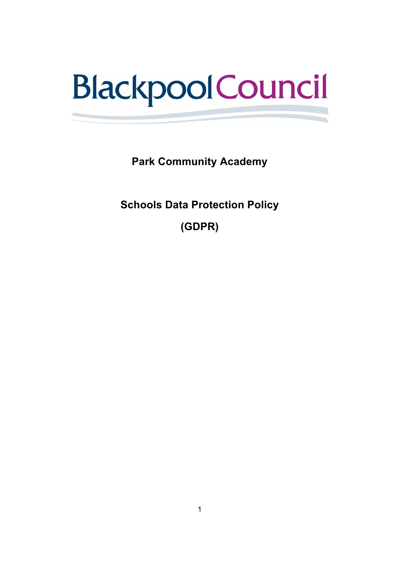# **Blackpool Council**

**Park Community Academy**

**Schools Data Protection Policy**

**(GDPR)**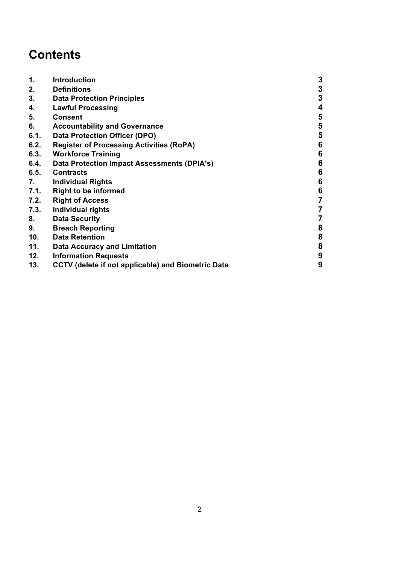# **Contents**

| 1.   | <b>Introduction</b>                                       | 3 |
|------|-----------------------------------------------------------|---|
| 2.   | <b>Definitions</b>                                        | 3 |
| 3.   | <b>Data Protection Principles</b>                         | 3 |
| 4.   | <b>Lawful Processing</b>                                  | 4 |
| 5.   | <b>Consent</b>                                            | 5 |
| 6.   | <b>Accountability and Governance</b>                      | 5 |
| 6.1. | <b>Data Protection Officer (DPO)</b>                      | 5 |
| 6.2. | <b>Register of Processing Activities (RoPA)</b>           | 6 |
| 6.3. | <b>Workforce Training</b>                                 | 6 |
| 6.4. | Data Protection Impact Assessments (DPIA's)               | 6 |
| 6.5. | <b>Contracts</b>                                          | 6 |
| 7.   | <b>Individual Rights</b>                                  | 6 |
| 7.1. | <b>Right to be informed</b>                               | 6 |
| 7.2. | <b>Right of Access</b>                                    |   |
| 7.3. | <b>Individual rights</b>                                  |   |
| 8.   | <b>Data Security</b>                                      |   |
| 9.   | <b>Breach Reporting</b>                                   | 8 |
| 10.  | <b>Data Retention</b>                                     | 8 |
| 11.  | <b>Data Accuracy and Limitation</b>                       | 8 |
| 12.  | <b>Information Requests</b>                               | 9 |
| 13.  | <b>CCTV</b> (delete if not applicable) and Biometric Data | 9 |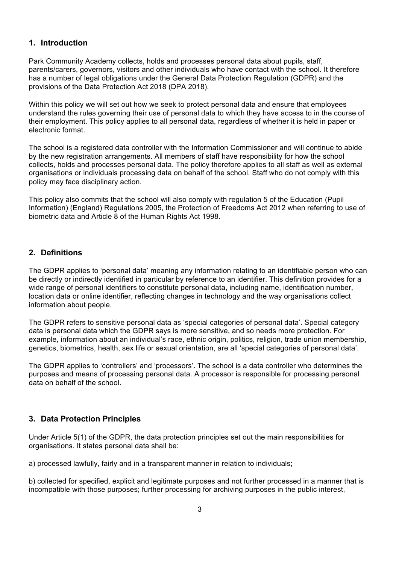#### **1. Introduction**

Park Community Academy collects, holds and processes personal data about pupils, staff, parents/carers, governors, visitors and other individuals who have contact with the school. It therefore has a number of legal obligations under the General Data Protection Regulation (GDPR) and the provisions of the Data Protection Act 2018 (DPA 2018).

Within this policy we will set out how we seek to protect personal data and ensure that employees understand the rules governing their use of personal data to which they have access to in the course of their employment. This policy applies to all personal data, regardless of whether it is held in paper or electronic format.

The school is a registered data controller with the Information Commissioner and will continue to abide by the new registration arrangements. All members of staff have responsibility for how the school collects, holds and processes personal data. The policy therefore applies to all staff as well as external organisations or individuals processing data on behalf of the school. Staff who do not comply with this policy may face disciplinary action.

This policy also commits that the school will also comply with regulation 5 of the Education (Pupil Information) (England) Regulations 2005, the Protection of Freedoms Act 2012 when referring to use of biometric data and Article 8 of the Human Rights Act 1998.

# **2. Definitions**

The GDPR applies to 'personal data' meaning any information relating to an identifiable person who can be directly or indirectly identified in particular by reference to an identifier. This definition provides for a wide range of personal identifiers to constitute personal data, including name, identification number, location data or online identifier, reflecting changes in technology and the way organisations collect information about people.

The GDPR refers to sensitive personal data as 'special categories of personal data'. Special category data is personal data which the GDPR says is more sensitive, and so needs more protection. For example, information about an individual's race, ethnic origin, politics, religion, trade union membership, genetics, biometrics, health, sex life or sexual orientation, are all 'special categories of personal data'.

The GDPR applies to 'controllers' and 'processors'. The school is a data controller who determines the purposes and means of processing personal data. A processor is responsible for processing personal data on behalf of the school.

# **3. Data Protection Principles**

Under Article 5(1) of the GDPR, the data protection principles set out the main responsibilities for organisations. It states personal data shall be:

a) processed lawfully, fairly and in a transparent manner in relation to individuals;

b) collected for specified, explicit and legitimate purposes and not further processed in a manner that is incompatible with those purposes; further processing for archiving purposes in the public interest,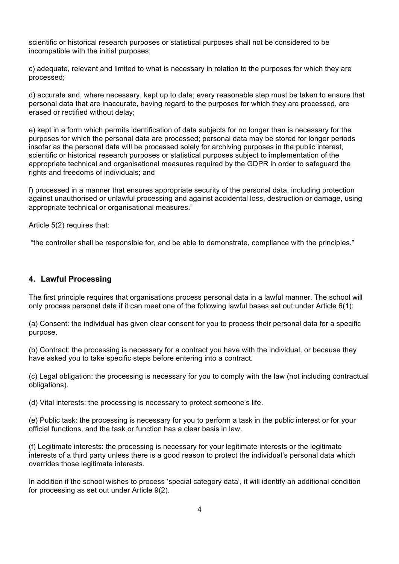scientific or historical research purposes or statistical purposes shall not be considered to be incompatible with the initial purposes;

c) adequate, relevant and limited to what is necessary in relation to the purposes for which they are processed;

d) accurate and, where necessary, kept up to date; every reasonable step must be taken to ensure that personal data that are inaccurate, having regard to the purposes for which they are processed, are erased or rectified without delay;

e) kept in a form which permits identification of data subjects for no longer than is necessary for the purposes for which the personal data are processed; personal data may be stored for longer periods insofar as the personal data will be processed solely for archiving purposes in the public interest, scientific or historical research purposes or statistical purposes subject to implementation of the appropriate technical and organisational measures required by the GDPR in order to safeguard the rights and freedoms of individuals; and

f) processed in a manner that ensures appropriate security of the personal data, including protection against unauthorised or unlawful processing and against accidental loss, destruction or damage, using appropriate technical or organisational measures."

Article 5(2) requires that:

"the controller shall be responsible for, and be able to demonstrate, compliance with the principles."

## **4. Lawful Processing**

The first principle requires that organisations process personal data in a lawful manner. The school will only process personal data if it can meet one of the following lawful bases set out under Article 6(1):

(a) Consent: the individual has given clear consent for you to process their personal data for a specific purpose.

(b) Contract: the processing is necessary for a contract you have with the individual, or because they have asked you to take specific steps before entering into a contract.

(c) Legal obligation: the processing is necessary for you to comply with the law (not including contractual obligations).

(d) Vital interests: the processing is necessary to protect someone's life.

(e) Public task: the processing is necessary for you to perform a task in the public interest or for your official functions, and the task or function has a clear basis in law.

(f) Legitimate interests: the processing is necessary for your legitimate interests or the legitimate interests of a third party unless there is a good reason to protect the individual's personal data which overrides those legitimate interests.

In addition if the school wishes to process 'special category data', it will identify an additional condition for processing as set out under Article 9(2).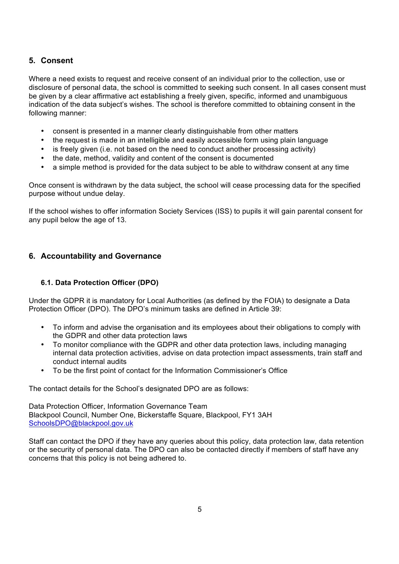# **5. Consent**

Where a need exists to request and receive consent of an individual prior to the collection, use or disclosure of personal data, the school is committed to seeking such consent. In all cases consent must be given by a clear affirmative act establishing a freely given, specific, informed and unambiguous indication of the data subject's wishes. The school is therefore committed to obtaining consent in the following manner:

- consent is presented in a manner clearly distinguishable from other matters
- the request is made in an intelligible and easily accessible form using plain language
- is freely given (i.e. not based on the need to conduct another processing activity)
- the date, method, validity and content of the consent is documented
- a simple method is provided for the data subject to be able to withdraw consent at any time

Once consent is withdrawn by the data subject, the school will cease processing data for the specified purpose without undue delay.

If the school wishes to offer information Society Services (ISS) to pupils it will gain parental consent for any pupil below the age of 13.

# **6. Accountability and Governance**

# **6.1. Data Protection Officer (DPO)**

Under the GDPR it is mandatory for Local Authorities (as defined by the FOIA) to designate a Data Protection Officer (DPO). The DPO's minimum tasks are defined in Article 39:

- To inform and advise the organisation and its employees about their obligations to comply with the GDPR and other data protection laws
- To monitor compliance with the GDPR and other data protection laws, including managing internal data protection activities, advise on data protection impact assessments, train staff and conduct internal audits
- To be the first point of contact for the Information Commissioner's Office

The contact details for the School's designated DPO are as follows:

Data Protection Officer, Information Governance Team Blackpool Council, Number One, Bickerstaffe Square, Blackpool, FY1 3AH SchoolsDPO@blackpool.gov.uk

Staff can contact the DPO if they have any queries about this policy, data protection law, data retention or the security of personal data. The DPO can also be contacted directly if members of staff have any concerns that this policy is not being adhered to.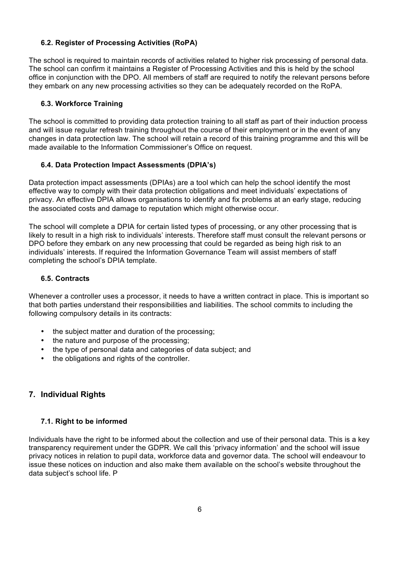#### **6.2. Register of Processing Activities (RoPA)**

The school is required to maintain records of activities related to higher risk processing of personal data. The school can confirm it maintains a Register of Processing Activities and this is held by the school office in conjunction with the DPO. All members of staff are required to notify the relevant persons before they embark on any new processing activities so they can be adequately recorded on the RoPA.

#### **6.3. Workforce Training**

The school is committed to providing data protection training to all staff as part of their induction process and will issue regular refresh training throughout the course of their employment or in the event of any changes in data protection law. The school will retain a record of this training programme and this will be made available to the Information Commissioner's Office on request.

#### **6.4. Data Protection Impact Assessments (DPIA's)**

Data protection impact assessments (DPIAs) are a tool which can help the school identify the most effective way to comply with their data protection obligations and meet individuals' expectations of privacy. An effective DPIA allows organisations to identify and fix problems at an early stage, reducing the associated costs and damage to reputation which might otherwise occur.

The school will complete a DPIA for certain listed types of processing, or any other processing that is likely to result in a high risk to individuals' interests. Therefore staff must consult the relevant persons or DPO before they embark on any new processing that could be regarded as being high risk to an individuals' interests. If required the Information Governance Team will assist members of staff completing the school's DPIA template.

#### **6.5. Contracts**

Whenever a controller uses a processor, it needs to have a written contract in place. This is important so that both parties understand their responsibilities and liabilities. The school commits to including the following compulsory details in its contracts:

- the subject matter and duration of the processing;
- the nature and purpose of the processing;
- the type of personal data and categories of data subject; and
- the obligations and rights of the controller.

# **7. Individual Rights**

#### **7.1. Right to be informed**

Individuals have the right to be informed about the collection and use of their personal data. This is a key transparency requirement under the GDPR. We call this 'privacy information' and the school will issue privacy notices in relation to pupil data, workforce data and governor data. The school will endeavour to issue these notices on induction and also make them available on the school's website throughout the data subject's school life. P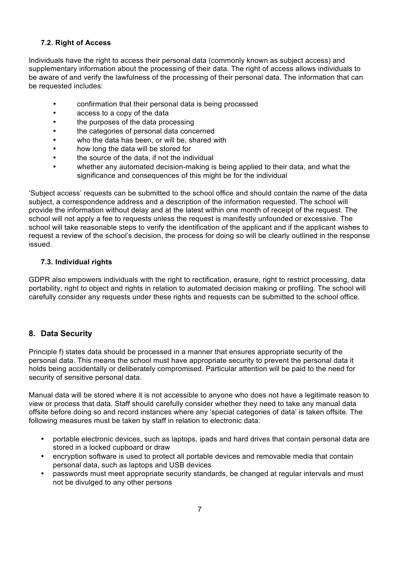### **7.2. Right of Access**

Individuals have the right to access their personal data (commonly known as subject access) and supplementary information about the processing of their data. The right of access allows individuals to be aware of and verify the lawfulness of the processing of their personal data. The information that can be requested includes:

- confirmation that their personal data is being processed
- access to a copy of the data
- the purposes of the data processing
- the categories of personal data concerned
- who the data has been, or will be, shared with
- how long the data will be stored for
- the source of the data, if not the individual
- whether any automated decision-making is being applied to their data, and what the significance and consequences of this might be for the individual

'Subject access' requests can be submitted to the school office and should contain the name of the data subject, a correspondence address and a description of the information requested. The school will provide the information without delay and at the latest within one month of receipt of the request. The school will not apply a fee to requests unless the request is manifestly unfounded or excessive. The school will take reasonable steps to verify the identification of the applicant and if the applicant wishes to request a review of the school's decision, the process for doing so will be clearly outlined in the response issued.

#### **7.3. Individual rights**

GDPR also empowers individuals with the right to rectification, erasure, right to restrict processing, data portability, right to object and rights in relation to automated decision making or profiling. The school will carefully consider any requests under these rights and requests can be submitted to the school office.

# **8. Data Security**

Principle f) states data should be processed in a manner that ensures appropriate security of the personal data. This means the school must have appropriate security to prevent the personal data it holds being accidentally or deliberately compromised. Particular attention will be paid to the need for security of sensitive personal data.

Manual data will be stored where it is not accessible to anyone who does not have a legitimate reason to view or process that data. Staff should carefully consider whether they need to take any manual data offsite before doing so and record instances where any 'special categories of data' is taken offsite. The following measures must be taken by staff in relation to electronic data:

- portable electronic devices, such as laptops, ipads and hard drives that contain personal data are stored in a locked cupboard or draw
- encryption software is used to protect all portable devices and removable media that contain personal data, such as laptops and USB devices
- passwords must meet appropriate security standards, be changed at regular intervals and must not be divulged to any other persons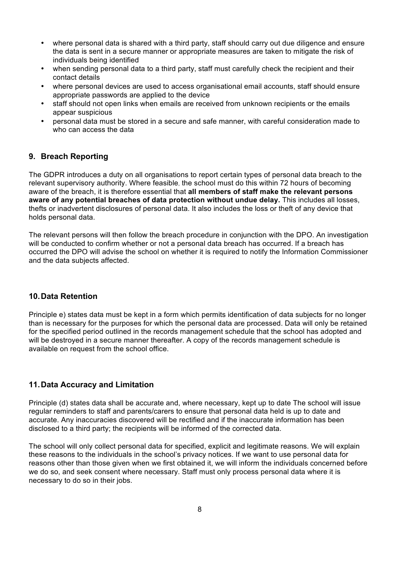- where personal data is shared with a third party, staff should carry out due diligence and ensure the data is sent in a secure manner or appropriate measures are taken to mitigate the risk of individuals being identified
- when sending personal data to a third party, staff must carefully check the recipient and their contact details
- where personal devices are used to access organisational email accounts, staff should ensure appropriate passwords are applied to the device
- staff should not open links when emails are received from unknown recipients or the emails appear suspicious
- personal data must be stored in a secure and safe manner, with careful consideration made to who can access the data

#### **9. Breach Reporting**

The GDPR introduces a duty on all organisations to report certain types of personal data breach to the relevant supervisory authority. Where feasible, the school must do this within 72 hours of becoming aware of the breach, it is therefore essential that **all members of staff make the relevant persons aware of any potential breaches of data protection without undue delay.** This includes all losses, thefts or inadvertent disclosures of personal data. It also includes the loss or theft of any device that holds personal data.

The relevant persons will then follow the breach procedure in conjunction with the DPO. An investigation will be conducted to confirm whether or not a personal data breach has occurred. If a breach has occurred the DPO will advise the school on whether it is required to notify the Information Commissioner and the data subjects affected.

#### **10.Data Retention**

Principle e) states data must be kept in a form which permits identification of data subjects for no longer than is necessary for the purposes for which the personal data are processed. Data will only be retained for the specified period outlined in the records management schedule that the school has adopted and will be destroyed in a secure manner thereafter. A copy of the records management schedule is available on request from the school office.

# **11.Data Accuracy and Limitation**

Principle (d) states data shall be accurate and, where necessary, kept up to date The school will issue regular reminders to staff and parents/carers to ensure that personal data held is up to date and accurate. Any inaccuracies discovered will be rectified and if the inaccurate information has been disclosed to a third party; the recipients will be informed of the corrected data.

The school will only collect personal data for specified, explicit and legitimate reasons. We will explain these reasons to the individuals in the school's privacy notices. If we want to use personal data for reasons other than those given when we first obtained it, we will inform the individuals concerned before we do so, and seek consent where necessary. Staff must only process personal data where it is necessary to do so in their jobs.